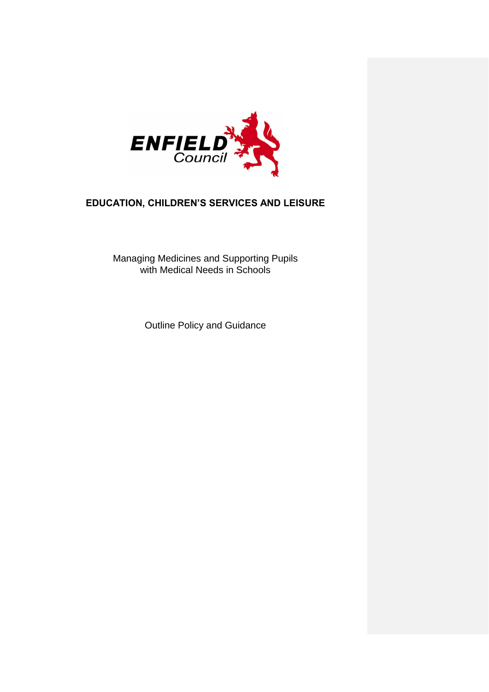

# **EDUCATION, CHILDREN'S SERVICES AND LEISURE**

Managing Medicines and Supporting Pupils with Medical Needs in Schools

Outline Policy and Guidance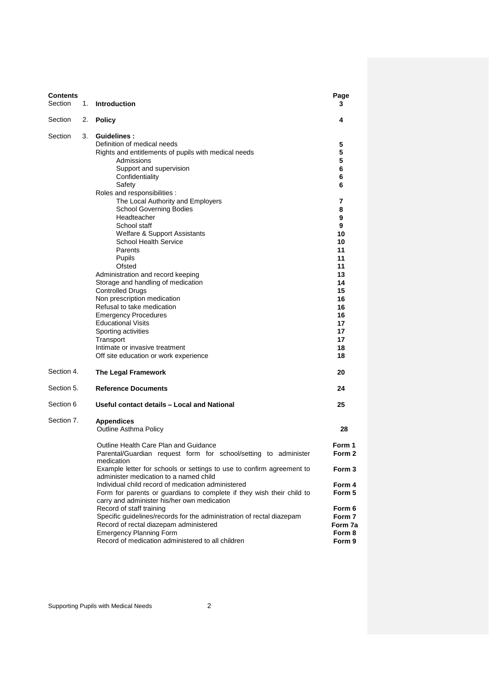| Contents<br>Section |    | 1. Introduction                                                                                                                                                                                                                                                                                                                                                                                                                                                                                                                                 | Page<br>3                                                                                                        |
|---------------------|----|-------------------------------------------------------------------------------------------------------------------------------------------------------------------------------------------------------------------------------------------------------------------------------------------------------------------------------------------------------------------------------------------------------------------------------------------------------------------------------------------------------------------------------------------------|------------------------------------------------------------------------------------------------------------------|
| Section             |    | 2. Policy                                                                                                                                                                                                                                                                                                                                                                                                                                                                                                                                       | 4                                                                                                                |
| Section             | 3. | <b>Guidelines:</b><br>Definition of medical needs<br>Rights and entitlements of pupils with medical needs<br>Admissions<br>Support and supervision<br>Confidentiality<br>Safety<br>Roles and responsibilities :                                                                                                                                                                                                                                                                                                                                 | 5<br>5<br>5<br>6<br>6<br>6                                                                                       |
|                     |    | The Local Authority and Employers<br><b>School Governing Bodies</b><br>Headteacher<br>School staff<br>Welfare & Support Assistants<br><b>School Health Service</b><br>Parents<br>Pupils<br>Ofsted<br>Administration and record keeping<br>Storage and handling of medication<br><b>Controlled Drugs</b><br>Non prescription medication<br>Refusal to take medication<br><b>Emergency Procedures</b><br><b>Educational Visits</b><br>Sporting activities<br>Transport<br>Intimate or invasive treatment<br>Off site education or work experience | 7<br>8<br>9<br>9<br>10<br>10<br>11<br>11<br>11<br>13<br>14<br>15<br>16<br>16<br>16<br>17<br>17<br>17<br>18<br>18 |
| Section 4.          |    | The Legal Framework                                                                                                                                                                                                                                                                                                                                                                                                                                                                                                                             | 20                                                                                                               |
| Section 5.          |    | <b>Reference Documents</b>                                                                                                                                                                                                                                                                                                                                                                                                                                                                                                                      | 24                                                                                                               |
| Section 6           |    | Useful contact details - Local and National                                                                                                                                                                                                                                                                                                                                                                                                                                                                                                     | 25                                                                                                               |
| Section 7.          |    | <b>Appendices</b><br><b>Outline Asthma Policy</b>                                                                                                                                                                                                                                                                                                                                                                                                                                                                                               | 28                                                                                                               |
|                     |    | Outline Health Care Plan and Guidance<br>Parental/Guardian request form for school/setting to administer<br>medication                                                                                                                                                                                                                                                                                                                                                                                                                          | Form 1<br>Form 2                                                                                                 |
|                     |    | Example letter for schools or settings to use to confirm agreement to<br>administer medication to a named child                                                                                                                                                                                                                                                                                                                                                                                                                                 | Form 3                                                                                                           |
|                     |    | Individual child record of medication administered<br>Form for parents or guardians to complete if they wish their child to<br>carry and administer his/her own medication                                                                                                                                                                                                                                                                                                                                                                      | Form 4<br>Form 5                                                                                                 |
|                     |    | Record of staff training<br>Specific guidelines/records for the administration of rectal diazepam<br>Record of rectal diazepam administered<br><b>Emergency Planning Form</b><br>Record of medication administered to all children                                                                                                                                                                                                                                                                                                              | Form 6<br>Form 7<br>Form 7a<br>Form 8<br>Form 9                                                                  |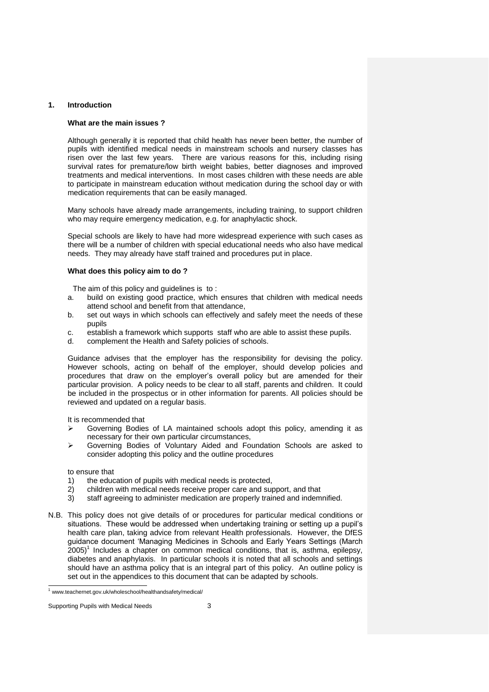# **1. Introduction**

# **What are the main issues ?**

Although generally it is reported that child health has never been better, the number of pupils with identified medical needs in mainstream schools and nursery classes has risen over the last few years. There are various reasons for this, including rising survival rates for premature/low birth weight babies, better diagnoses and improved treatments and medical interventions. In most cases children with these needs are able to participate in mainstream education without medication during the school day or with medication requirements that can be easily managed.

Many schools have already made arrangements, including training, to support children who may require emergency medication, e.g. for anaphylactic shock.

Special schools are likely to have had more widespread experience with such cases as there will be a number of children with special educational needs who also have medical needs. They may already have staff trained and procedures put in place.

# **What does this policy aim to do ?**

The aim of this policy and guidelines is to :

- a. build on existing good practice, which ensures that children with medical needs attend school and benefit from that attendance,
- b. set out ways in which schools can effectively and safely meet the needs of these pupils
- c. establish a framework which supports staff who are able to assist these pupils.
- d. complement the Health and Safety policies of schools.

Guidance advises that the employer has the responsibility for devising the policy. However schools, acting on behalf of the employer, should develop policies and procedures that draw on the employer's overall policy but are amended for their particular provision. A policy needs to be clear to all staff, parents and children. It could be included in the prospectus or in other information for parents. All policies should be reviewed and updated on a regular basis.

It is recommended that

- $\triangleright$  Governing Bodies of LA maintained schools adopt this policy, amending it as necessary for their own particular circumstances,
- Governing Bodies of Voluntary Aided and Foundation Schools are asked to consider adopting this policy and the outline procedures

#### to ensure that

- 1) the education of pupils with medical needs is protected,
- 2) children with medical needs receive proper care and support, and that
- 3) staff agreeing to administer medication are properly trained and indemnified.
- N.B. This policy does not give details of or procedures for particular medical conditions or situations. These would be addressed when undertaking training or setting up a pupil's health care plan, taking advice from relevant Health professionals. However, the DfES guidance document 'Managing Medicines in Schools and Early Years Settings (March  $2005$ <sup>1</sup> Includes a chapter on common medical conditions, that is, asthma, epilepsy, diabetes and anaphylaxis. In particular schools it is noted that all schools and settings should have an asthma policy that is an integral part of this policy. An outline policy is set out in the appendices to this document that can be adapted by schools.

 <sup>1</sup> www.teachernet.gov.uk/wholeschool/healthandsafety/medical/

Supporting Pupils with Medical Needs 3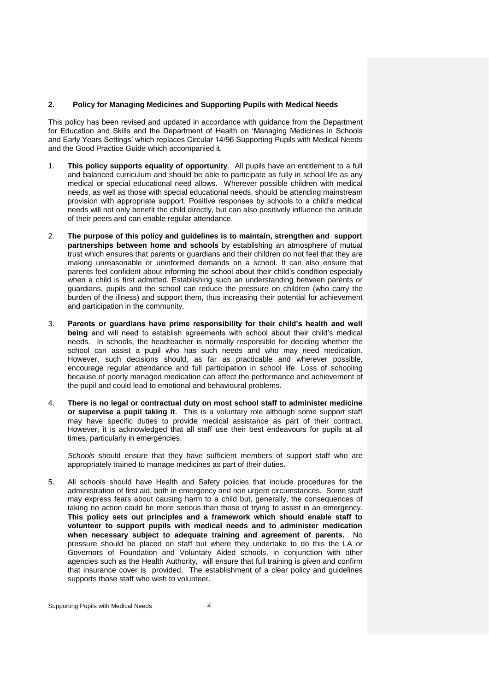### **2. Policy for Managing Medicines and Supporting Pupils with Medical Needs**

This policy has been revised and updated in accordance with guidance from the Department for Education and Skills and the Department of Health on 'Managing Medicines in Schools and Early Years Settings' which replaces Circular 14/96 Supporting Pupils with Medical Needs and the Good Practice Guide which accompanied it.

- 1. **This policy supports equality of opportunity**. All pupils have an entitlement to a full and balanced curriculum and should be able to participate as fully in school life as any medical or special educational need allows. Wherever possible children with medical needs, as well as those with special educational needs, should be attending mainstream provision with appropriate support. Positive responses by schools to a child's medical needs will not only benefit the child directly, but can also positively influence the attitude of their peers and can enable regular attendance.
- 2. **The purpose of this policy and guidelines is to maintain, strengthen and support partnerships between home and schools** by establishing an atmosphere of mutual trust which ensures that parents or guardians and their children do not feel that they are making unreasonable or uninformed demands on a school. It can also ensure that parents feel confident about informing the school about their child's condition especially when a child is first admitted. Establishing such an understanding between parents or guardians, pupils and the school can reduce the pressure on children (who carry the burden of the illness) and support them, thus increasing their potential for achievement and participation in the community.
- 3. **Parents or guardians have prime responsibility for their child's health and well being** and will need to establish agreements with school about their child's medical needs. In schools, the headteacher is normally responsible for deciding whether the school can assist a pupil who has such needs and who may need medication. However, such decisions should, as far as practicable and wherever possible, encourage regular attendance and full participation in school life. Loss of schooling because of poorly managed medication can affect the performance and achievement of the pupil and could lead to emotional and behavioural problems.
- 4. **There is no legal or contractual duty on most school staff to administer medicine or supervise a pupil taking it**. This is a voluntary role although some support staff may have specific duties to provide medical assistance as part of their contract. However, it is acknowledged that all staff use their best endeavours for pupils at all times, particularly in emergencies.

*Schools* should ensure that they have sufficient members of support staff who are appropriately trained to manage medicines as part of their duties.

5. All schools should have Health and Safety policies that include procedures for the administration of first aid, both in emergency and non urgent circumstances. Some staff may express fears about causing harm to a child but, generally, the consequences of taking no action could be more serious than those of trying to assist in an emergency. **This policy sets out principles and a framework which should enable staff to volunteer to support pupils with medical needs and to administer medication when necessary subject to adequate training and agreement of parents.** No pressure should be placed on staff but where they undertake to do this the LA or Governors of Foundation and Voluntary Aided schools, in conjunction with other agencies such as the Health Authority, will ensure that full training is given and confirm that insurance cover is provided. The establishment of a clear policy and guidelines supports those staff who wish to volunteer.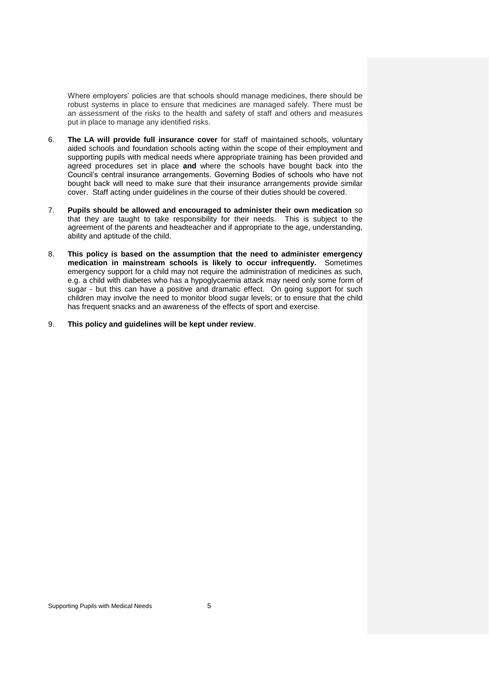Where employers' policies are that schools should manage medicines, there should be robust systems in place to ensure that medicines are managed safely. There must be an assessment of the risks to the health and safety of staff and others and measures put in place to manage any identified risks.

- 6. **The LA will provide full insurance cover** for staff of maintained schools, voluntary aided schools and foundation schools acting within the scope of their employment and supporting pupils with medical needs where appropriate training has been provided and agreed procedures set in place **and** where the schools have bought back into the Council's central insurance arrangements. Governing Bodies of schools who have not bought back will need to make sure that their insurance arrangements provide similar cover. Staff acting under guidelines in the course of their duties should be covered.
- 7. **Pupils should be allowed and encouraged to administer their own medication** so that they are taught to take responsibility for their needs. This is subject to the agreement of the parents and headteacher and if appropriate to the age, understanding, ability and aptitude of the child.
- 8. **This policy is based on the assumption that the need to administer emergency medication in mainstream schools is likely to occur infrequently.** Sometimes emergency support for a child may not require the administration of medicines as such, e.g. a child with diabetes who has a hypoglycaemia attack may need only some form of sugar - but this can have a positive and dramatic effect. On going support for such children may involve the need to monitor blood sugar levels; or to ensure that the child has frequent snacks and an awareness of the effects of sport and exercise.
- 9. **This policy and guidelines will be kept under review**.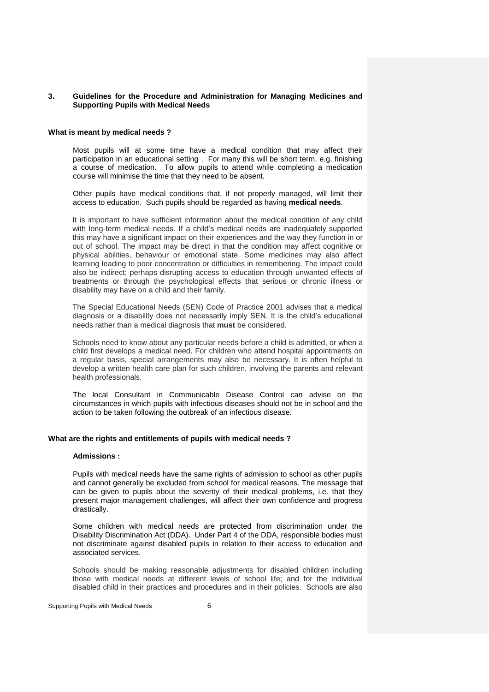# **3. Guidelines for the Procedure and Administration for Managing Medicines and Supporting Pupils with Medical Needs**

### **What is meant by medical needs ?**

Most pupils will at some time have a medical condition that may affect their participation in an educational setting . For many this will be short term. e.g. finishing a course of medication. To allow pupils to attend while completing a medication course will minimise the time that they need to be absent.

Other pupils have medical conditions that, if not properly managed, will limit their access to education. Such pupils should be regarded as having **medical needs**.

It is important to have sufficient information about the medical condition of any child with long-term medical needs. If a child's medical needs are inadequately supported this may have a significant impact on their experiences and the way they function in or out of school. The impact may be direct in that the condition may affect cognitive or physical abilities, behaviour or emotional state. Some medicines may also affect learning leading to poor concentration or difficulties in remembering. The impact could also be indirect; perhaps disrupting access to education through unwanted effects of treatments or through the psychological effects that serious or chronic illness or disability may have on a child and their family.

The Special Educational Needs (SEN) Code of Practice 2001 advises that a medical diagnosis or a disability does not necessarily imply SEN. It is the child's educational needs rather than a medical diagnosis that **must** be considered.

Schools need to know about any particular needs before a child is admitted, or when a child first develops a medical need. For children who attend hospital appointments on a regular basis, special arrangements may also be necessary. It is often helpful to develop a written health care plan for such children, involving the parents and relevant health professionals.

The local Consultant in Communicable Disease Control can advise on the circumstances in which pupils with infectious diseases should not be in school and the action to be taken following the outbreak of an infectious disease.

# **What are the rights and entitlements of pupils with medical needs ?**

#### **Admissions :**

Pupils with medical needs have the same rights of admission to school as other pupils and cannot generally be excluded from school for medical reasons. The message that can be given to pupils about the severity of their medical problems, i.e. that they present major management challenges, will affect their own confidence and progress drastically.

Some children with medical needs are protected from discrimination under the Disability Discrimination Act (DDA). Under Part 4 of the DDA, responsible bodies must not discriminate against disabled pupils in relation to their access to education and associated services.

Schools should be making reasonable adjustments for disabled children including those with medical needs at different levels of school life; and for the individual disabled child in their practices and procedures and in their policies. Schools are also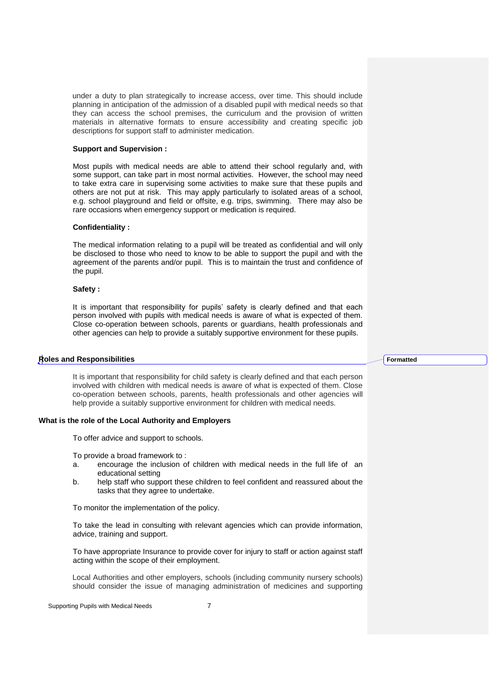under a duty to plan strategically to increase access, over time. This should include planning in anticipation of the admission of a disabled pupil with medical needs so that they can access the school premises, the curriculum and the provision of written materials in alternative formats to ensure accessibility and creating specific job descriptions for support staff to administer medication.

#### **Support and Supervision :**

Most pupils with medical needs are able to attend their school regularly and, with some support, can take part in most normal activities. However, the school may need to take extra care in supervising some activities to make sure that these pupils and others are not put at risk. This may apply particularly to isolated areas of a school, e.g. school playground and field or offsite, e.g. trips, swimming. There may also be rare occasions when emergency support or medication is required.

#### **Confidentiality :**

The medical information relating to a pupil will be treated as confidential and will only be disclosed to those who need to know to be able to support the pupil and with the agreement of the parents and/or pupil. This is to maintain the trust and confidence of the pupil.

### **Safety :**

It is important that responsibility for pupils' safety is clearly defined and that each person involved with pupils with medical needs is aware of what is expected of them. Close co-operation between schools, parents or guardians, health professionals and other agencies can help to provide a suitably supportive environment for these pupils.

#### **Roles and Responsibilities**

It is important that responsibility for child safety is clearly defined and that each person involved with children with medical needs is aware of what is expected of them. Close co-operation between schools, parents, health professionals and other agencies will help provide a suitably supportive environment for children with medical needs.

# **What is the role of the Local Authority and Employers**

To offer advice and support to schools.

To provide a broad framework to :

- a. encourage the inclusion of children with medical needs in the full life of an educational setting
- b. help staff who support these children to feel confident and reassured about the tasks that they agree to undertake.

To monitor the implementation of the policy.

To take the lead in consulting with relevant agencies which can provide information, advice, training and support.

To have appropriate Insurance to provide cover for injury to staff or action against staff acting within the scope of their employment.

Local Authorities and other employers, schools (including community nursery schools) should consider the issue of managing administration of medicines and supporting **Formatted**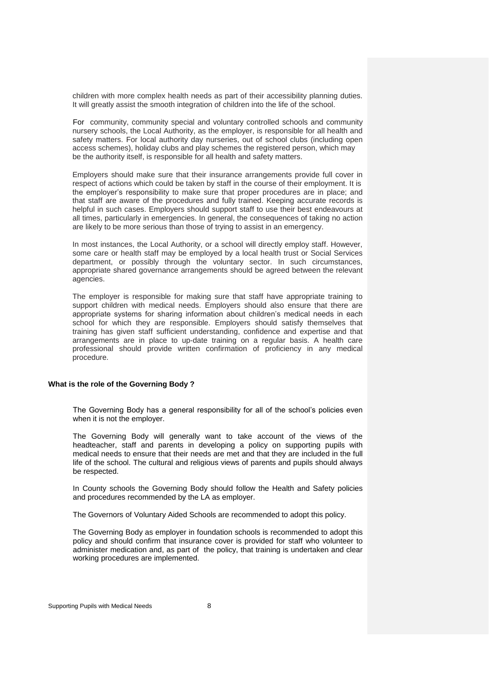children with more complex health needs as part of their accessibility planning duties. It will greatly assist the smooth integration of children into the life of the school.

For community, community special and voluntary controlled schools and community nursery schools, the Local Authority, as the employer, is responsible for all health and safety matters. For local authority day nurseries, out of school clubs (including open access schemes), holiday clubs and play schemes the registered person, which may be the authority itself, is responsible for all health and safety matters.

Employers should make sure that their insurance arrangements provide full cover in respect of actions which could be taken by staff in the course of their employment. It is the employer's responsibility to make sure that proper procedures are in place; and that staff are aware of the procedures and fully trained. Keeping accurate records is helpful in such cases. Employers should support staff to use their best endeavours at all times, particularly in emergencies. In general, the consequences of taking no action are likely to be more serious than those of trying to assist in an emergency.

In most instances, the Local Authority, or a school will directly employ staff. However, some care or health staff may be employed by a local health trust or Social Services department, or possibly through the voluntary sector. In such circumstances, appropriate shared governance arrangements should be agreed between the relevant agencies.

The employer is responsible for making sure that staff have appropriate training to support children with medical needs. Employers should also ensure that there are appropriate systems for sharing information about children's medical needs in each school for which they are responsible. Employers should satisfy themselves that training has given staff sufficient understanding, confidence and expertise and that arrangements are in place to up-date training on a regular basis. A health care professional should provide written confirmation of proficiency in any medical procedure.

# **What is the role of the Governing Body ?**

The Governing Body has a general responsibility for all of the school's policies even when it is not the employer.

The Governing Body will generally want to take account of the views of the headteacher, staff and parents in developing a policy on supporting pupils with medical needs to ensure that their needs are met and that they are included in the full life of the school. The cultural and religious views of parents and pupils should always be respected.

In County schools the Governing Body should follow the Health and Safety policies and procedures recommended by the LA as employer.

The Governors of Voluntary Aided Schools are recommended to adopt this policy.

The Governing Body as employer in foundation schools is recommended to adopt this policy and should confirm that insurance cover is provided for staff who volunteer to administer medication and, as part of the policy, that training is undertaken and clear working procedures are implemented.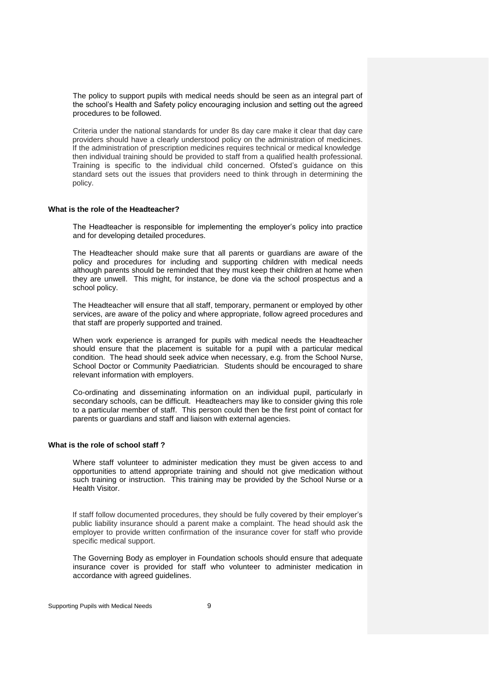The policy to support pupils with medical needs should be seen as an integral part of the school's Health and Safety policy encouraging inclusion and setting out the agreed procedures to be followed.

Criteria under the national standards for under 8s day care make it clear that day care providers should have a clearly understood policy on the administration of medicines. If the administration of prescription medicines requires technical or medical knowledge then individual training should be provided to staff from a qualified health professional. Training is specific to the individual child concerned. Ofsted's guidance on this standard sets out the issues that providers need to think through in determining the policy.

#### **What is the role of the Headteacher?**

The Headteacher is responsible for implementing the employer's policy into practice and for developing detailed procedures.

The Headteacher should make sure that all parents or guardians are aware of the policy and procedures for including and supporting children with medical needs although parents should be reminded that they must keep their children at home when they are unwell. This might, for instance, be done via the school prospectus and a school policy.

The Headteacher will ensure that all staff, temporary, permanent or employed by other services, are aware of the policy and where appropriate, follow agreed procedures and that staff are properly supported and trained.

When work experience is arranged for pupils with medical needs the Headteacher should ensure that the placement is suitable for a pupil with a particular medical condition. The head should seek advice when necessary, e.g. from the School Nurse, School Doctor or Community Paediatrician. Students should be encouraged to share relevant information with employers.

Co-ordinating and disseminating information on an individual pupil, particularly in secondary schools, can be difficult. Headteachers may like to consider giving this role to a particular member of staff. This person could then be the first point of contact for parents or guardians and staff and liaison with external agencies.

# **What is the role of school staff ?**

Where staff volunteer to administer medication they must be given access to and opportunities to attend appropriate training and should not give medication without such training or instruction. This training may be provided by the School Nurse or a Health Visitor.

If staff follow documented procedures, they should be fully covered by their employer's public liability insurance should a parent make a complaint. The head should ask the employer to provide written confirmation of the insurance cover for staff who provide specific medical support.

The Governing Body as employer in Foundation schools should ensure that adequate insurance cover is provided for staff who volunteer to administer medication in accordance with agreed guidelines.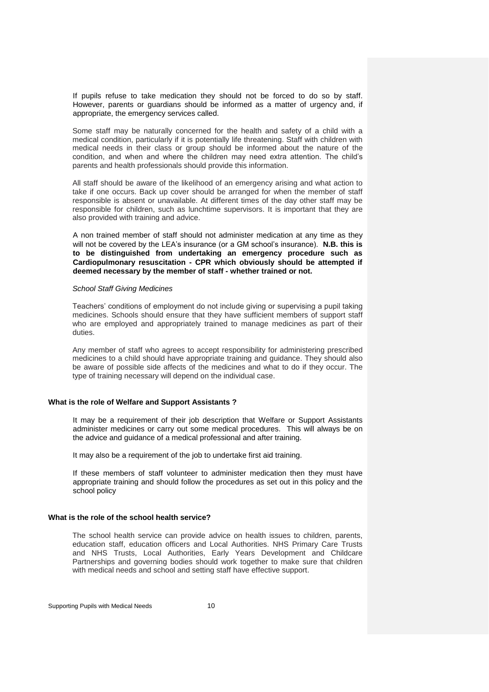If pupils refuse to take medication they should not be forced to do so by staff. However, parents or guardians should be informed as a matter of urgency and, if appropriate, the emergency services called.

Some staff may be naturally concerned for the health and safety of a child with a medical condition, particularly if it is potentially life threatening. Staff with children with medical needs in their class or group should be informed about the nature of the condition, and when and where the children may need extra attention. The child's parents and health professionals should provide this information.

All staff should be aware of the likelihood of an emergency arising and what action to take if one occurs. Back up cover should be arranged for when the member of staff responsible is absent or unavailable. At different times of the day other staff may be responsible for children, such as lunchtime supervisors. It is important that they are also provided with training and advice.

A non trained member of staff should not administer medication at any time as they will not be covered by the LEA's insurance (or a GM school's insurance). **N.B. this is to be distinguished from undertaking an emergency procedure such as Cardiopulmonary resuscitation - CPR which obviously should be attempted if deemed necessary by the member of staff - whether trained or not.**

#### *School Staff Giving Medicines*

Teachers' conditions of employment do not include giving or supervising a pupil taking medicines. Schools should ensure that they have sufficient members of support staff who are employed and appropriately trained to manage medicines as part of their duties.

Any member of staff who agrees to accept responsibility for administering prescribed medicines to a child should have appropriate training and guidance. They should also be aware of possible side affects of the medicines and what to do if they occur. The type of training necessary will depend on the individual case.

# **What is the role of Welfare and Support Assistants ?**

It may be a requirement of their job description that Welfare or Support Assistants administer medicines or carry out some medical procedures. This will always be on the advice and guidance of a medical professional and after training.

It may also be a requirement of the job to undertake first aid training.

If these members of staff volunteer to administer medication then they must have appropriate training and should follow the procedures as set out in this policy and the school policy

# **What is the role of the school health service?**

The school health service can provide advice on health issues to children, parents, education staff, education officers and Local Authorities. NHS Primary Care Trusts and NHS Trusts, Local Authorities, Early Years Development and Childcare Partnerships and governing bodies should work together to make sure that children with medical needs and school and setting staff have effective support.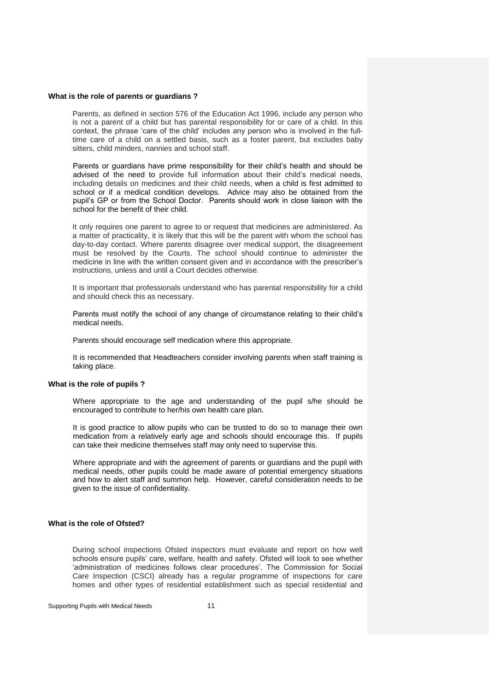# **What is the role of parents or guardians ?**

Parents, as defined in section 576 of the Education Act 1996, include any person who is not a parent of a child but has parental responsibility for or care of a child. In this context, the phrase 'care of the child' includes any person who is involved in the fulltime care of a child on a settled basis, such as a foster parent, but excludes baby sitters, child minders, nannies and school staff.

Parents or guardians have prime responsibility for their child's health and should be advised of the need to provide full information about their child's medical needs, including details on medicines and their child needs, when a child is first admitted to school or if a medical condition develops. Advice may also be obtained from the pupil's GP or from the School Doctor. Parents should work in close liaison with the school for the benefit of their child.

It only requires one parent to agree to or request that medicines are administered. As a matter of practicality, it is likely that this will be the parent with whom the school has day-to-day contact. Where parents disagree over medical support, the disagreement must be resolved by the Courts. The school should continue to administer the medicine in line with the written consent given and in accordance with the prescriber's instructions, unless and until a Court decides otherwise.

It is important that professionals understand who has parental responsibility for a child and should check this as necessary.

Parents must notify the school of any change of circumstance relating to their child's medical needs.

Parents should encourage self medication where this appropriate.

It is recommended that Headteachers consider involving parents when staff training is taking place.

# **What is the role of pupils ?**

Where appropriate to the age and understanding of the pupil s/he should be encouraged to contribute to her/his own health care plan.

It is good practice to allow pupils who can be trusted to do so to manage their own medication from a relatively early age and schools should encourage this. If pupils can take their medicine themselves staff may only need to supervise this.

Where appropriate and with the agreement of parents or guardians and the pupil with medical needs, other pupils could be made aware of potential emergency situations and how to alert staff and summon help. However, careful consideration needs to be given to the issue of confidentiality.

### **What is the role of Ofsted?**

During school inspections Ofsted inspectors must evaluate and report on how well schools ensure pupils' care, welfare, health and safety. Ofsted will look to see whether 'administration of medicines follows clear procedures'. The Commission for Social Care Inspection (CSCI) already has a regular programme of inspections for care homes and other types of residential establishment such as special residential and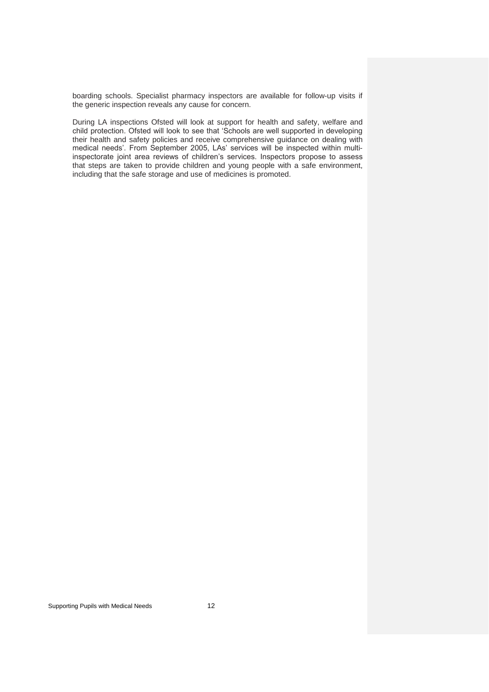boarding schools. Specialist pharmacy inspectors are available for follow-up visits if the generic inspection reveals any cause for concern.

During LA inspections Ofsted will look at support for health and safety, welfare and child protection. Ofsted will look to see that 'Schools are well supported in developing their health and safety policies and receive comprehensive guidance on dealing with medical needs'. From September 2005, LAs' services will be inspected within multiinspectorate joint area reviews of children's services. Inspectors propose to assess that steps are taken to provide children and young people with a safe environment, including that the safe storage and use of medicines is promoted.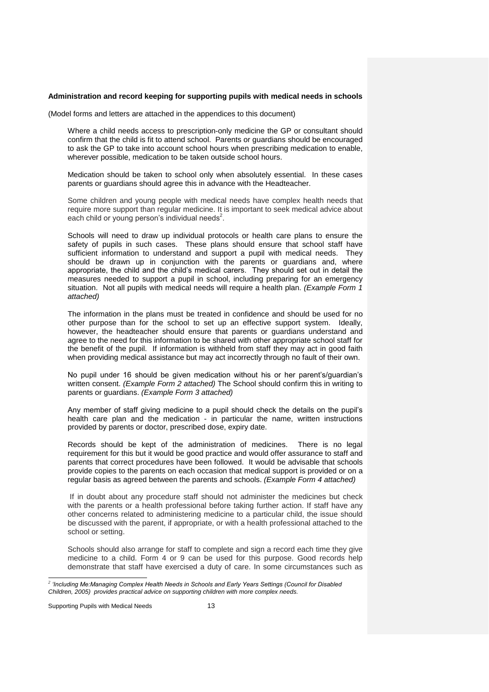#### **Administration and record keeping for supporting pupils with medical needs in schools**

(Model forms and letters are attached in the appendices to this document)

Where a child needs access to prescription-only medicine the GP or consultant should confirm that the child is fit to attend school. Parents or guardians should be encouraged to ask the GP to take into account school hours when prescribing medication to enable, wherever possible, medication to be taken outside school hours.

Medication should be taken to school only when absolutely essential. In these cases parents or guardians should agree this in advance with the Headteacher.

Some children and young people with medical needs have complex health needs that require more support than regular medicine. It is important to seek medical advice about each child or young person's individual needs $^2$ .

Schools will need to draw up individual protocols or health care plans to ensure the safety of pupils in such cases. These plans should ensure that school staff have sufficient information to understand and support a pupil with medical needs. They should be drawn up in conjunction with the parents or guardians and, where appropriate, the child and the child's medical carers. They should set out in detail the measures needed to support a pupil in school, including preparing for an emergency situation. Not all pupils with medical needs will require a health plan. *(Example Form 1 attached)*

The information in the plans must be treated in confidence and should be used for no other purpose than for the school to set up an effective support system. Ideally, however, the headteacher should ensure that parents or guardians understand and agree to the need for this information to be shared with other appropriate school staff for the benefit of the pupil. If information is withheld from staff they may act in good faith when providing medical assistance but may act incorrectly through no fault of their own.

No pupil under 16 should be given medication without his or her parent's/guardian's written consent. *(Example Form 2 attached)* The School should confirm this in writing to parents or guardians. *(Example Form 3 attached)*

Any member of staff giving medicine to a pupil should check the details on the pupil's health care plan and the medication - in particular the name, written instructions provided by parents or doctor, prescribed dose, expiry date.

Records should be kept of the administration of medicines. There is no legal requirement for this but it would be good practice and would offer assurance to staff and parents that correct procedures have been followed. It would be advisable that schools provide copies to the parents on each occasion that medical support is provided or on a regular basis as agreed between the parents and schools. *(Example Form 4 attached)*

If in doubt about any procedure staff should not administer the medicines but check with the parents or a health professional before taking further action. If staff have any other concerns related to administering medicine to a particular child, the issue should be discussed with the parent, if appropriate, or with a health professional attached to the school or setting.

Schools should also arrange for staff to complete and sign a record each time they give medicine to a child. Form 4 or 9 can be used for this purpose. Good records help demonstrate that staff have exercised a duty of care. In some circumstances such as

Supporting Pupils with Medical Needs 13

 *2 'Including Me:Managing Complex Health Needs in Schools and Early Years Settings (Council for Disabled Children, 2005) provides practical advice on supporting children with more complex needs.*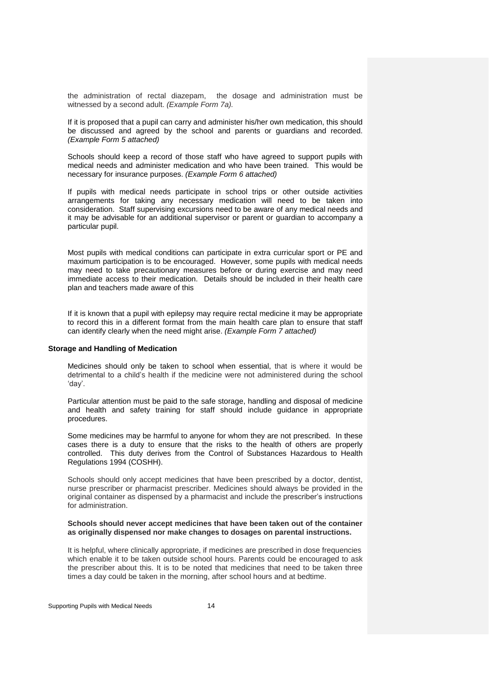the administration of rectal diazepam, the dosage and administration must be witnessed by a second adult. *(Example Form 7a).*

If it is proposed that a pupil can carry and administer his/her own medication, this should be discussed and agreed by the school and parents or guardians and recorded. *(Example Form 5 attached)*

Schools should keep a record of those staff who have agreed to support pupils with medical needs and administer medication and who have been trained. This would be necessary for insurance purposes. *(Example Form 6 attached)*

If pupils with medical needs participate in school trips or other outside activities arrangements for taking any necessary medication will need to be taken into consideration. Staff supervising excursions need to be aware of any medical needs and it may be advisable for an additional supervisor or parent or guardian to accompany a particular pupil.

Most pupils with medical conditions can participate in extra curricular sport or PE and maximum participation is to be encouraged. However, some pupils with medical needs may need to take precautionary measures before or during exercise and may need immediate access to their medication. Details should be included in their health care plan and teachers made aware of this

If it is known that a pupil with epilepsy may require rectal medicine it may be appropriate to record this in a different format from the main health care plan to ensure that staff can identify clearly when the need might arise. *(Example Form 7 attached)*

# **Storage and Handling of Medication**

Medicines should only be taken to school when essential, that is where it would be detrimental to a child's health if the medicine were not administered during the school 'day'.

Particular attention must be paid to the safe storage, handling and disposal of medicine and health and safety training for staff should include guidance in appropriate procedures.

Some medicines may be harmful to anyone for whom they are not prescribed. In these cases there is a duty to ensure that the risks to the health of others are properly controlled. This duty derives from the Control of Substances Hazardous to Health Regulations 1994 (COSHH).

Schools should only accept medicines that have been prescribed by a doctor, dentist, nurse prescriber or pharmacist prescriber. Medicines should always be provided in the original container as dispensed by a pharmacist and include the prescriber's instructions for administration.

### **Schools should never accept medicines that have been taken out of the container as originally dispensed nor make changes to dosages on parental instructions.**

It is helpful, where clinically appropriate, if medicines are prescribed in dose frequencies which enable it to be taken outside school hours. Parents could be encouraged to ask the prescriber about this. It is to be noted that medicines that need to be taken three times a day could be taken in the morning, after school hours and at bedtime.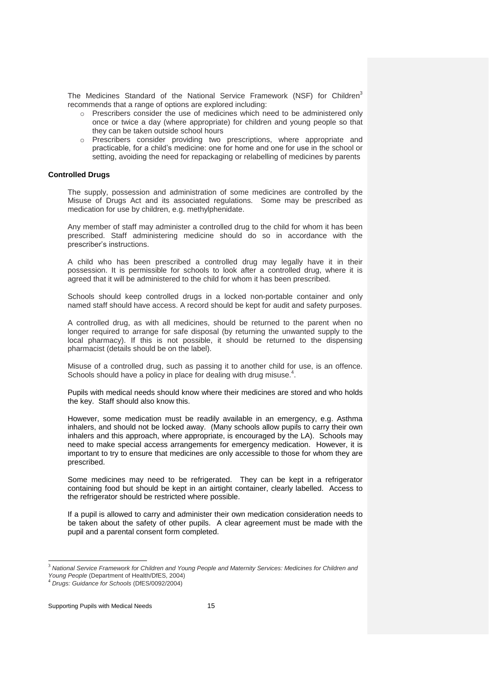The Medicines Standard of the National Service Framework (NSF) for Children<sup>3</sup> recommends that a range of options are explored including:

- o Prescribers consider the use of medicines which need to be administered only once or twice a day (where appropriate) for children and young people so that they can be taken outside school hours
- o Prescribers consider providing two prescriptions, where appropriate and practicable, for a child's medicine: one for home and one for use in the school or setting, avoiding the need for repackaging or relabelling of medicines by parents

# **Controlled Drugs**

The supply, possession and administration of some medicines are controlled by the Misuse of Drugs Act and its associated regulations. Some may be prescribed as medication for use by children, e.g. methylphenidate.

Any member of staff may administer a controlled drug to the child for whom it has been prescribed. Staff administering medicine should do so in accordance with the prescriber's instructions.

A child who has been prescribed a controlled drug may legally have it in their possession. It is permissible for schools to look after a controlled drug, where it is agreed that it will be administered to the child for whom it has been prescribed.

Schools should keep controlled drugs in a locked non-portable container and only named staff should have access. A record should be kept for audit and safety purposes.

A controlled drug, as with all medicines, should be returned to the parent when no longer required to arrange for safe disposal (by returning the unwanted supply to the local pharmacy). If this is not possible, it should be returned to the dispensing pharmacist (details should be on the label).

Misuse of a controlled drug, such as passing it to another child for use, is an offence. Schools should have a policy in place for dealing with drug misuse.<sup>4</sup>.

Pupils with medical needs should know where their medicines are stored and who holds the key. Staff should also know this.

However, some medication must be readily available in an emergency, e.g. Asthma inhalers, and should not be locked away. (Many schools allow pupils to carry their own inhalers and this approach, where appropriate, is encouraged by the LA). Schools may need to make special access arrangements for emergency medication. However, it is important to try to ensure that medicines are only accessible to those for whom they are prescribed.

Some medicines may need to be refrigerated. They can be kept in a refrigerator containing food but should be kept in an airtight container, clearly labelled. Access to the refrigerator should be restricted where possible.

If a pupil is allowed to carry and administer their own medication consideration needs to be taken about the safety of other pupils. A clear agreement must be made with the pupil and a parental consent form completed.

 $\overline{a}$ 

<sup>3</sup> *National Service Framework for Children and Young People and Maternity Services: Medicines for Children and Young People* (Department of Health/DfES, 2004)

<sup>4</sup> *Drugs: Guidance for Schools* (DfES/0092/2004)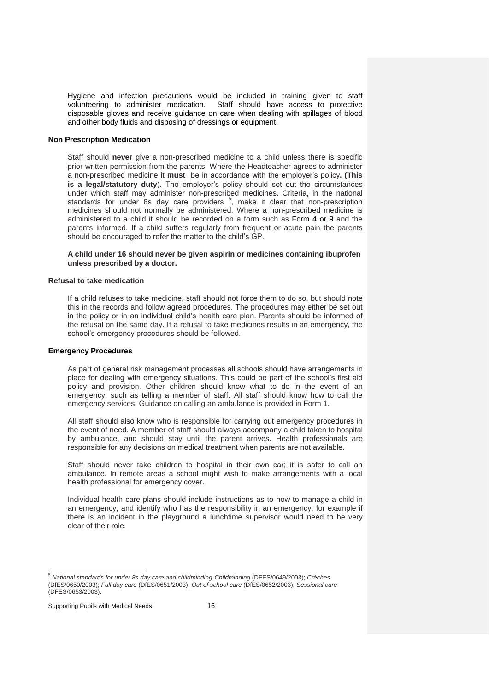Hygiene and infection precautions would be included in training given to staff volunteering to administer medication. Staff should have access to protective disposable gloves and receive guidance on care when dealing with spillages of blood and other body fluids and disposing of dressings or equipment.

#### **Non Prescription Medication**

Staff should **never** give a non-prescribed medicine to a child unless there is specific prior written permission from the parents. Where the Headteacher agrees to administer a non-prescribed medicine it **must** be in accordance with the employer's policy**. (This is a legal/statutory duty**). The employer's policy should set out the circumstances under which staff may administer non-prescribed medicines. Criteria, in the national standards for under 8s day care providers <sup>5</sup>, make it clear that non-prescription medicines should not normally be administered. Where a non-prescribed medicine is administered to a child it should be recorded on a form such as Form 4 or 9 and the parents informed. If a child suffers regularly from frequent or acute pain the parents should be encouraged to refer the matter to the child's GP.

### **A child under 16 should never be given aspirin or medicines containing ibuprofen unless prescribed by a doctor.**

#### **Refusal to take medication**

If a child refuses to take medicine, staff should not force them to do so, but should note this in the records and follow agreed procedures. The procedures may either be set out in the policy or in an individual child's health care plan. Parents should be informed of the refusal on the same day. If a refusal to take medicines results in an emergency, the school's emergency procedures should be followed.

#### **Emergency Procedures**

As part of general risk management processes all schools should have arrangements in place for dealing with emergency situations. This could be part of the school's first aid policy and provision. Other children should know what to do in the event of an emergency, such as telling a member of staff. All staff should know how to call the emergency services. Guidance on calling an ambulance is provided in Form 1.

All staff should also know who is responsible for carrying out emergency procedures in the event of need. A member of staff should always accompany a child taken to hospital by ambulance, and should stay until the parent arrives. Health professionals are responsible for any decisions on medical treatment when parents are not available.

Staff should never take children to hospital in their own car; it is safer to call an ambulance. In remote areas a school might wish to make arrangements with a local health professional for emergency cover.

Individual health care plans should include instructions as to how to manage a child in an emergency, and identify who has the responsibility in an emergency, for example if there is an incident in the playground a lunchtime supervisor would need to be very clear of their role.

 $\overline{a}$ 

<sup>5</sup> *National standards for under 8s day care and childminding-Childminding* (DFES/0649/2003); *Créches*  (DfES/0650/2003); *Full day care* (DfES/0651/2003); *Out of school care* (DfES/0652/2003); *Sessional care*  (DFES/0653/2003).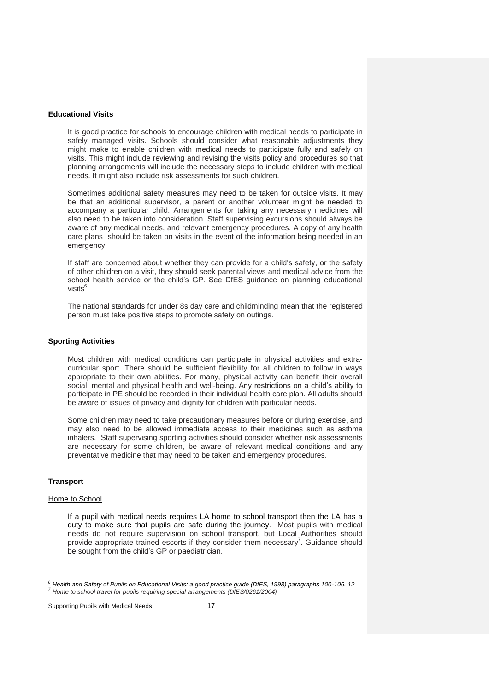# **Educational Visits**

It is good practice for schools to encourage children with medical needs to participate in safely managed visits. Schools should consider what reasonable adjustments they might make to enable children with medical needs to participate fully and safely on visits. This might include reviewing and revising the visits policy and procedures so that planning arrangements will include the necessary steps to include children with medical needs. It might also include risk assessments for such children.

Sometimes additional safety measures may need to be taken for outside visits. It may be that an additional supervisor, a parent or another volunteer might be needed to accompany a particular child. Arrangements for taking any necessary medicines will also need to be taken into consideration. Staff supervising excursions should always be aware of any medical needs, and relevant emergency procedures. A copy of any health care plans should be taken on visits in the event of the information being needed in an emergency.

If staff are concerned about whether they can provide for a child's safety, or the safety of other children on a visit, they should seek parental views and medical advice from the school health service or the child's GP. See DfES guidance on planning educational visits<sup>6</sup>.

The national standards for under 8s day care and childminding mean that the registered person must take positive steps to promote safety on outings.

#### **Sporting Activities**

Most children with medical conditions can participate in physical activities and extracurricular sport. There should be sufficient flexibility for all children to follow in ways appropriate to their own abilities. For many, physical activity can benefit their overall social, mental and physical health and well-being. Any restrictions on a child's ability to participate in PE should be recorded in their individual health care plan. All adults should be aware of issues of privacy and dignity for children with particular needs.

Some children may need to take precautionary measures before or during exercise, and may also need to be allowed immediate access to their medicines such as asthma inhalers. Staff supervising sporting activities should consider whether risk assessments are necessary for some children, be aware of relevant medical conditions and any preventative medicine that may need to be taken and emergency procedures.

# **Transport**

# Home to School

If a pupil with medical needs requires LA home to school transport then the LA has a duty to make sure that pupils are safe during the journey. Most pupils with medical needs do not require supervision on school transport, but Local Authorities should provide appropriate trained escorts if they consider them necessary<sup>7</sup>. Guidance should be sought from the child's GP or paediatrician.

Supporting Pupils with Medical Needs 17

 *<sup>6</sup> Health and Safety of Pupils on Educational Visits: a good practice guide (DfES, 1998) paragraphs 100-106. 12 <sup>7</sup> Home to school travel for pupils requiring special arrangements (DfES/0261/2004)*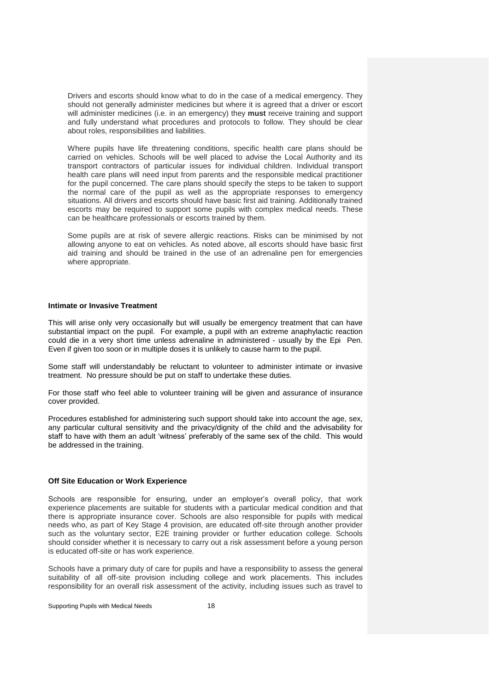Drivers and escorts should know what to do in the case of a medical emergency. They should not generally administer medicines but where it is agreed that a driver or escort will administer medicines (i.e. in an emergency) they **must** receive training and support and fully understand what procedures and protocols to follow. They should be clear about roles, responsibilities and liabilities.

Where pupils have life threatening conditions, specific health care plans should be carried on vehicles. Schools will be well placed to advise the Local Authority and its transport contractors of particular issues for individual children. Individual transport health care plans will need input from parents and the responsible medical practitioner for the pupil concerned. The care plans should specify the steps to be taken to support the normal care of the pupil as well as the appropriate responses to emergency situations. All drivers and escorts should have basic first aid training. Additionally trained escorts may be required to support some pupils with complex medical needs. These can be healthcare professionals or escorts trained by them.

Some pupils are at risk of severe allergic reactions. Risks can be minimised by not allowing anyone to eat on vehicles. As noted above, all escorts should have basic first aid training and should be trained in the use of an adrenaline pen for emergencies where appropriate.

# **Intimate or Invasive Treatment**

This will arise only very occasionally but will usually be emergency treatment that can have substantial impact on the pupil. For example, a pupil with an extreme anaphylactic reaction could die in a very short time unless adrenaline in administered - usually by the Epi Pen. Even if given too soon or in multiple doses it is unlikely to cause harm to the pupil.

Some staff will understandably be reluctant to volunteer to administer intimate or invasive treatment. No pressure should be put on staff to undertake these duties.

For those staff who feel able to volunteer training will be given and assurance of insurance cover provided.

Procedures established for administering such support should take into account the age, sex, any particular cultural sensitivity and the privacy/dignity of the child and the advisability for staff to have with them an adult 'witness' preferably of the same sex of the child. This would be addressed in the training.

#### **Off Site Education or Work Experience**

Schools are responsible for ensuring, under an employer's overall policy, that work experience placements are suitable for students with a particular medical condition and that there is appropriate insurance cover. Schools are also responsible for pupils with medical needs who, as part of Key Stage 4 provision, are educated off-site through another provider such as the voluntary sector, E2E training provider or further education college. Schools should consider whether it is necessary to carry out a risk assessment before a young person is educated off-site or has work experience.

Schools have a primary duty of care for pupils and have a responsibility to assess the general suitability of all off-site provision including college and work placements. This includes responsibility for an overall risk assessment of the activity, including issues such as travel to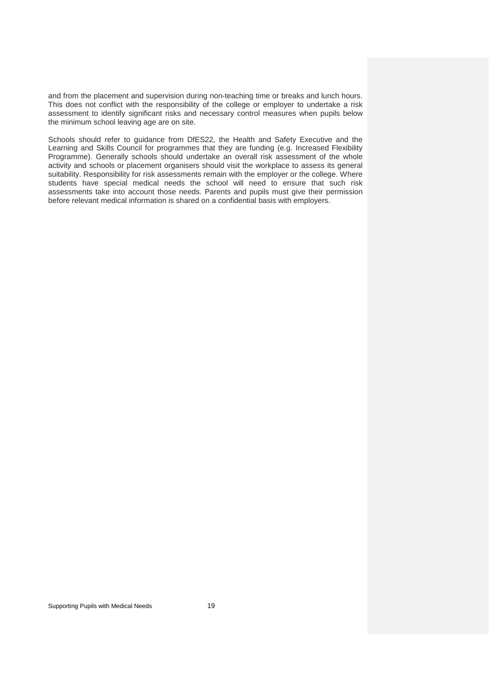and from the placement and supervision during non-teaching time or breaks and lunch hours. This does not conflict with the responsibility of the college or employer to undertake a risk assessment to identify significant risks and necessary control measures when pupils below the minimum school leaving age are on site.

Schools should refer to guidance from DfES22, the Health and Safety Executive and the Learning and Skills Council for programmes that they are funding (e.g. Increased Flexibility Programme). Generally schools should undertake an overall risk assessment of the whole activity and schools or placement organisers should visit the workplace to assess its general suitability. Responsibility for risk assessments remain with the employer or the college. Where students have special medical needs the school will need to ensure that such risk assessments take into account those needs. Parents and pupils must give their permission before relevant medical information is shared on a confidential basis with employers.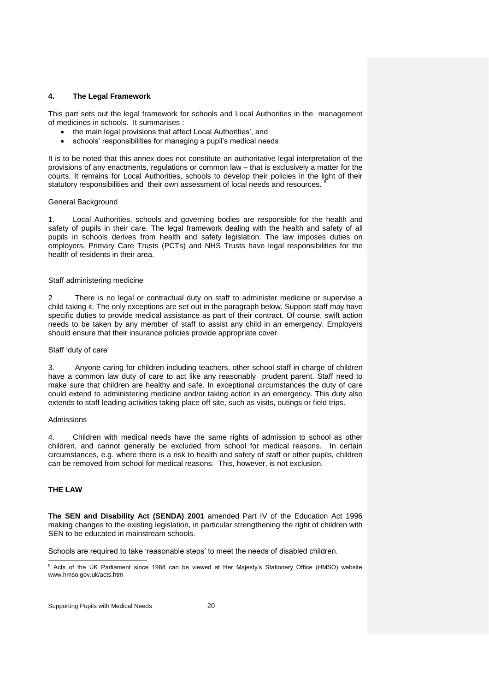# **4. The Legal Framework**

This part sets out the legal framework for schools and Local Authorities in the management of medicines in schools. It summarises :

- the main legal provisions that affect Local Authorities', and
- schools' responsibilities for managing a pupil's medical needs

It is to be noted that this annex does not constitute an authoritative legal interpretation of the provisions of any enactments, regulations or common law – that is exclusively a matter for the courts. It remains for Local Authorities, schools to develop their policies in the light of their statutory responsibilities and their own assessment of local needs and resources.

# General Background

1. Local Authorities, schools and governing bodies are responsible for the health and safety of pupils in their care. The legal framework dealing with the health and safety of all pupils in schools derives from health and safety legislation. The law imposes duties on employers. Primary Care Trusts (PCTs) and NHS Trusts have legal responsibilities for the health of residents in their area.

# Staff administering medicine

2 There is no legal or contractual duty on staff to administer medicine or supervise a child taking it. The only exceptions are set out in the paragraph below. Support staff may have specific duties to provide medical assistance as part of their contract. Of course, swift action needs to be taken by any member of staff to assist any child in an emergency. Employers should ensure that their insurance policies provide appropriate cover.

# Staff 'duty of care'

3. Anyone caring for children including teachers, other school staff in charge of children have a common law duty of care to act like any reasonably prudent parent. Staff need to make sure that children are healthy and safe. In exceptional circumstances the duty of care could extend to administering medicine and/or taking action in an emergency. This duty also extends to staff leading activities taking place off site, such as visits, outings or field trips.

# Admissions

4. Children with medical needs have the same rights of admission to school as other children, and cannot generally be excluded from school for medical reasons. In certain circumstances, e.g. where there is a risk to health and safety of staff or other pupils, children can be removed from school for medical reasons. This, however, is not exclusion.

# **THE LAW**

**The SEN and Disability Act (SENDA) 2001** amended Part IV of the Education Act 1996 making changes to the existing legislation, in particular strengthening the right of children with SEN to be educated in mainstream schools.

Schools are required to take 'reasonable steps' to meet the needs of disabled children.

Supporting Pupils with Medical Needs 20

 $\overline{a}$ <sup>8</sup> Acts of the UK Parliament since 1988 can be viewed at Her Majesty's Stationery Office (HMSO) website www.hmso.gov.uk/acts.htm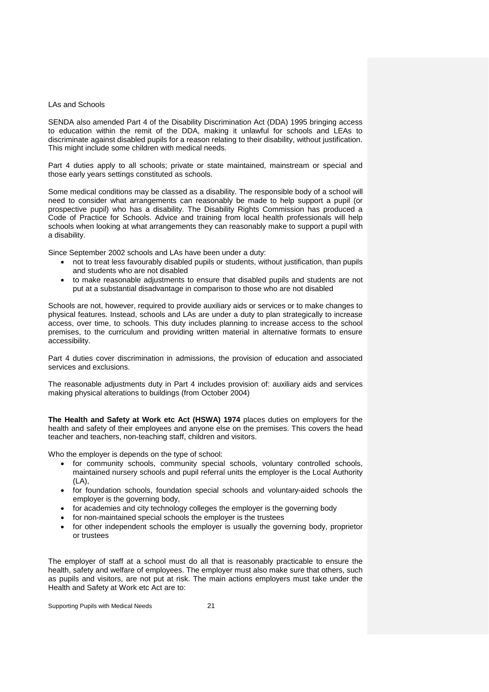# LAs and Schools

SENDA also amended Part 4 of the Disability Discrimination Act (DDA) 1995 bringing access to education within the remit of the DDA, making it unlawful for schools and LEAs to discriminate against disabled pupils for a reason relating to their disability, without justification. This might include some children with medical needs.

Part 4 duties apply to all schools; private or state maintained, mainstream or special and those early years settings constituted as schools.

Some medical conditions may be classed as a disability. The responsible body of a school will need to consider what arrangements can reasonably be made to help support a pupil (or prospective pupil) who has a disability. The Disability Rights Commission has produced a Code of Practice for Schools. Advice and training from local health professionals will help schools when looking at what arrangements they can reasonably make to support a pupil with a disability.

Since September 2002 schools and LAs have been under a duty:

- not to treat less favourably disabled pupils or students, without justification, than pupils and students who are not disabled
- to make reasonable adjustments to ensure that disabled pupils and students are not put at a substantial disadvantage in comparison to those who are not disabled

Schools are not, however, required to provide auxiliary aids or services or to make changes to physical features. Instead, schools and LAs are under a duty to plan strategically to increase access, over time, to schools. This duty includes planning to increase access to the school premises, to the curriculum and providing written material in alternative formats to ensure accessibility.

Part 4 duties cover discrimination in admissions, the provision of education and associated services and exclusions.

The reasonable adjustments duty in Part 4 includes provision of: auxiliary aids and services making physical alterations to buildings (from October 2004)

**The Health and Safety at Work etc Act (HSWA) 1974** places duties on employers for the health and safety of their employees and anyone else on the premises. This covers the head teacher and teachers, non-teaching staff, children and visitors.

Who the employer is depends on the type of school:

- for community schools, community special schools, voluntary controlled schools, maintained nursery schools and pupil referral units the employer is the Local Authority (LA),
- for foundation schools, foundation special schools and voluntary-aided schools the employer is the governing body,
- for academies and city technology colleges the employer is the governing body
- for non-maintained special schools the employer is the trustees
- for other independent schools the employer is usually the governing body, proprietor or trustees

The employer of staff at a school must do all that is reasonably practicable to ensure the health, safety and welfare of employees. The employer must also make sure that others, such as pupils and visitors, are not put at risk. The main actions employers must take under the Health and Safety at Work etc Act are to: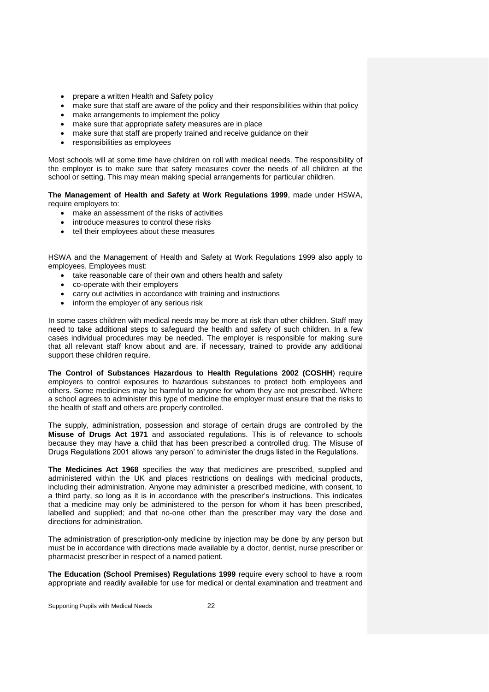- prepare a written Health and Safety policy
- make sure that staff are aware of the policy and their responsibilities within that policy
- make arrangements to implement the policy
- make sure that appropriate safety measures are in place
- make sure that staff are properly trained and receive guidance on their
- responsibilities as employees

Most schools will at some time have children on roll with medical needs. The responsibility of the employer is to make sure that safety measures cover the needs of all children at the school or setting. This may mean making special arrangements for particular children.

**The Management of Health and Safety at Work Regulations 1999**, made under HSWA, require employers to:

- make an assessment of the risks of activities
- introduce measures to control these risks
- tell their employees about these measures

HSWA and the Management of Health and Safety at Work Regulations 1999 also apply to employees. Employees must:

- take reasonable care of their own and others health and safety
- co-operate with their employers
- carry out activities in accordance with training and instructions
- inform the employer of any serious risk

In some cases children with medical needs may be more at risk than other children. Staff may need to take additional steps to safeguard the health and safety of such children. In a few cases individual procedures may be needed. The employer is responsible for making sure that all relevant staff know about and are, if necessary, trained to provide any additional support these children require.

**The Control of Substances Hazardous to Health Regulations 2002 (COSHH**) require employers to control exposures to hazardous substances to protect both employees and others. Some medicines may be harmful to anyone for whom they are not prescribed. Where a school agrees to administer this type of medicine the employer must ensure that the risks to the health of staff and others are properly controlled.

The supply, administration, possession and storage of certain drugs are controlled by the **Misuse of Drugs Act 1971** and associated regulations. This is of relevance to schools because they may have a child that has been prescribed a controlled drug. The Misuse of Drugs Regulations 2001 allows 'any person' to administer the drugs listed in the Regulations.

**The Medicines Act 1968** specifies the way that medicines are prescribed, supplied and administered within the UK and places restrictions on dealings with medicinal products, including their administration. Anyone may administer a prescribed medicine, with consent, to a third party, so long as it is in accordance with the prescriber's instructions. This indicates that a medicine may only be administered to the person for whom it has been prescribed, labelled and supplied; and that no-one other than the prescriber may vary the dose and directions for administration.

The administration of prescription-only medicine by injection may be done by any person but must be in accordance with directions made available by a doctor, dentist, nurse prescriber or pharmacist prescriber in respect of a named patient.

**The Education (School Premises) Regulations 1999** require every school to have a room appropriate and readily available for use for medical or dental examination and treatment and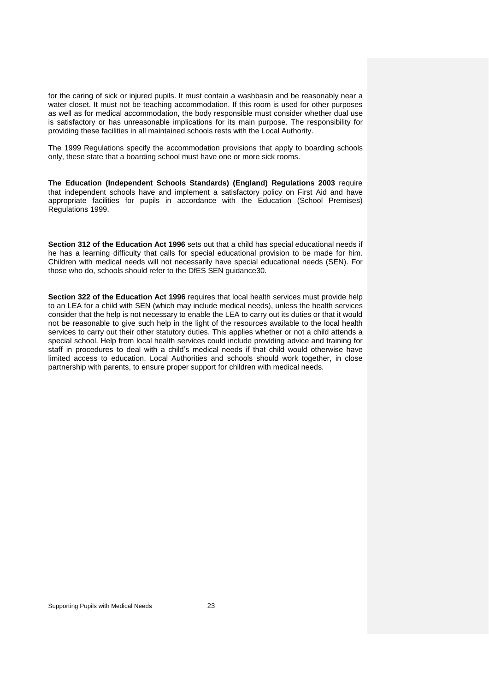for the caring of sick or injured pupils. It must contain a washbasin and be reasonably near a water closet. It must not be teaching accommodation. If this room is used for other purposes as well as for medical accommodation, the body responsible must consider whether dual use is satisfactory or has unreasonable implications for its main purpose. The responsibility for providing these facilities in all maintained schools rests with the Local Authority.

The 1999 Regulations specify the accommodation provisions that apply to boarding schools only, these state that a boarding school must have one or more sick rooms.

**The Education (Independent Schools Standards) (England) Regulations 2003** require that independent schools have and implement a satisfactory policy on First Aid and have appropriate facilities for pupils in accordance with the Education (School Premises) Regulations 1999.

**Section 312 of the Education Act 1996** sets out that a child has special educational needs if he has a learning difficulty that calls for special educational provision to be made for him. Children with medical needs will not necessarily have special educational needs (SEN). For those who do, schools should refer to the DfES SEN guidance30.

**Section 322 of the Education Act 1996** requires that local health services must provide help to an LEA for a child with SEN (which may include medical needs), unless the health services consider that the help is not necessary to enable the LEA to carry out its duties or that it would not be reasonable to give such help in the light of the resources available to the local health services to carry out their other statutory duties. This applies whether or not a child attends a special school. Help from local health services could include providing advice and training for staff in procedures to deal with a child's medical needs if that child would otherwise have limited access to education. Local Authorities and schools should work together, in close partnership with parents, to ensure proper support for children with medical needs.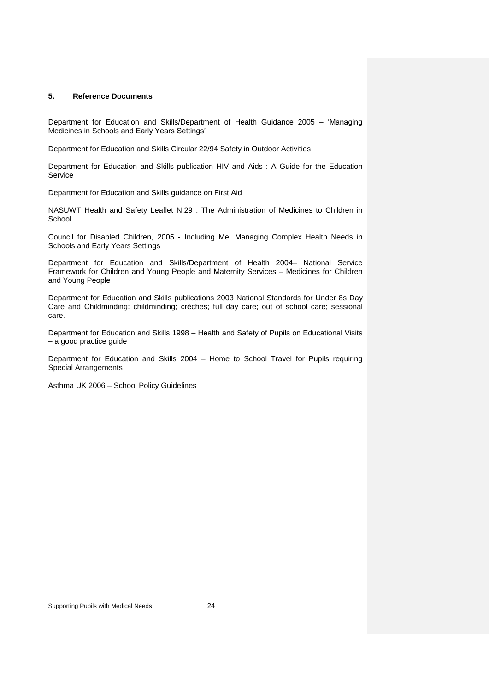# **5. Reference Documents**

Department for Education and Skills/Department of Health Guidance 2005 – 'Managing Medicines in Schools and Early Years Settings'

Department for Education and Skills Circular 22/94 Safety in Outdoor Activities

Department for Education and Skills publication HIV and Aids : A Guide for the Education Service

Department for Education and Skills guidance on First Aid

NASUWT Health and Safety Leaflet N.29 : The Administration of Medicines to Children in School.

Council for Disabled Children, 2005 - Including Me: Managing Complex Health Needs in Schools and Early Years Settings

Department for Education and Skills/Department of Health 2004– National Service Framework for Children and Young People and Maternity Services – Medicines for Children and Young People

Department for Education and Skills publications 2003 National Standards for Under 8s Day Care and Childminding: childminding; crèches; full day care; out of school care; sessional care.

Department for Education and Skills 1998 – Health and Safety of Pupils on Educational Visits – a good practice guide

Department for Education and Skills 2004 – Home to School Travel for Pupils requiring Special Arrangements

Asthma UK 2006 – School Policy Guidelines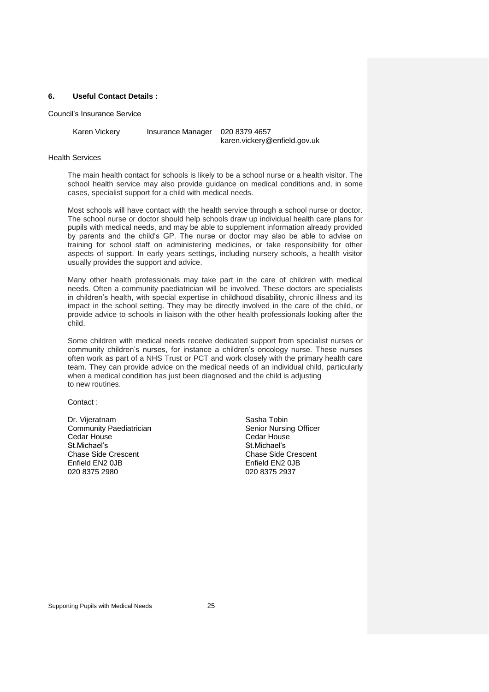# **6. Useful Contact Details :**

Council's Insurance Service

Karen Vickery Insurance Manager 020 8379 4657

karen.vickery@enfield.gov.uk

# Health Services

The main health contact for schools is likely to be a school nurse or a health visitor. The school health service may also provide guidance on medical conditions and, in some cases, specialist support for a child with medical needs.

Most schools will have contact with the health service through a school nurse or doctor. The school nurse or doctor should help schools draw up individual health care plans for pupils with medical needs, and may be able to supplement information already provided by parents and the child's GP. The nurse or doctor may also be able to advise on training for school staff on administering medicines, or take responsibility for other aspects of support. In early years settings, including nursery schools, a health visitor usually provides the support and advice.

Many other health professionals may take part in the care of children with medical needs. Often a community paediatrician will be involved. These doctors are specialists in children's health, with special expertise in childhood disability, chronic illness and its impact in the school setting. They may be directly involved in the care of the child, or provide advice to schools in liaison with the other health professionals looking after the child.

Some children with medical needs receive dedicated support from specialist nurses or community children's nurses, for instance a children's oncology nurse. These nurses often work as part of a NHS Trust or PCT and work closely with the primary health care team. They can provide advice on the medical needs of an individual child, particularly when a medical condition has just been diagnosed and the child is adjusting to new routines.

Contact :

Dr. Vijeratnam Sasha Tobin<br>
Community Paediatrician Senior Nursin<br>
Senior Nursin Cedar House Cedar House St.Michael's St.Michael's St.Michael's St.Michael's St.Michael's St.Michael's St.Michael's St.Michael's St. Chase Side Crescent Chase Side Crescent Chase Side Cres<br>
Enfield EN2 0JB<br>
Chase Side Crescent Chase Side Crescent Enfield EN2 0JB<br>020 8375 2980

Senior Nursing Officer<br>Cedar House 020 8375 2937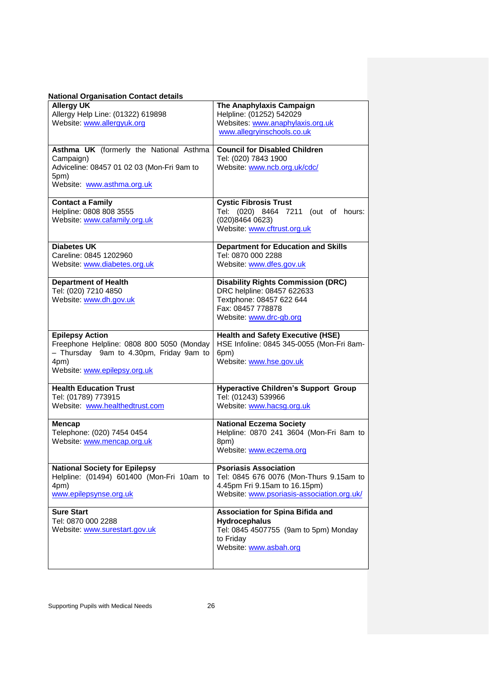| <b>National Organisation Contact details</b>                                                                                                           |                                                                                                                                                        |  |  |  |  |
|--------------------------------------------------------------------------------------------------------------------------------------------------------|--------------------------------------------------------------------------------------------------------------------------------------------------------|--|--|--|--|
| <b>Allergy UK</b><br>Allergy Help Line: (01322) 619898<br>Website: www.allergyuk.org                                                                   | The Anaphylaxis Campaign<br>Helpline: (01252) 542029<br>Websites: www.anaphylaxis.org.uk<br>www.allegryinschools.co.uk                                 |  |  |  |  |
| Asthma UK (formerly the National Asthma<br>Campaign)<br>Adviceline: 08457 01 02 03 (Mon-Fri 9am to<br>5pm)<br>Website: www.asthma.org.uk               | <b>Council for Disabled Children</b><br>Tel: (020) 7843 1900<br>Website: www.ncb.org.uk/cdc/                                                           |  |  |  |  |
| <b>Contact a Family</b><br>Helpline: 0808 808 3555<br>Website: www.cafamily.org.uk                                                                     | <b>Cystic Fibrosis Trust</b><br>Tel:<br>(020) 8464 7211 (out of hours:<br>(020)84640623)<br>Website: www.cftrust.org.uk                                |  |  |  |  |
| <b>Diabetes UK</b><br>Careline: 0845 1202960<br>Website: www.diabetes.org.uk                                                                           | <b>Department for Education and Skills</b><br>Tel: 0870 000 2288<br>Website: www.dfes.gov.uk                                                           |  |  |  |  |
| <b>Department of Health</b><br>Tel: (020) 7210 4850<br>Website: www.dh.gov.uk                                                                          | <b>Disability Rights Commission (DRC)</b><br>DRC helpline: 08457 622633<br>Textphone: 08457 622 644<br>Fax: 08457 778878<br>Website: www.drc-gb.org    |  |  |  |  |
| <b>Epilepsy Action</b><br>Freephone Helpline: 0808 800 5050 (Monday<br>- Thursday 9am to 4.30pm, Friday 9am to<br>4pm)<br>Website: www.epilepsy.org.uk | <b>Health and Safety Executive (HSE)</b><br>HSE Infoline: 0845 345-0055 (Mon-Fri 8am-<br>6pm)<br>Website: www.hse.gov.uk                               |  |  |  |  |
| <b>Health Education Trust</b><br>Tel: (01789) 773915<br>Website: www.healthedtrust.com                                                                 | <b>Hyperactive Children's Support Group</b><br>Tel: (01243) 539966<br>Website: www.hacsg.org.uk                                                        |  |  |  |  |
| <b>Mencap</b><br>Telephone: (020) 7454 0454<br>Website: www.mencap.org.uk                                                                              | <b>National Eczema Society</b><br>Helpline: 0870 241 3604 (Mon-Fri 8am to<br>8pm)<br>Website: www.eczema.org                                           |  |  |  |  |
| <b>National Society for Epilepsy</b><br>Helpline: (01494) 601400 (Mon-Fri 10am to<br>4pm)<br>www.epilepsynse.org.uk                                    | <b>Psoriasis Association</b><br>Tel: 0845 676 0076 (Mon-Thurs 9.15am to<br>4.45pm Fri 9.15am to 16.15pm)<br>Website: www.psoriasis-association.org.uk/ |  |  |  |  |
| <b>Sure Start</b><br>Tel: 0870 000 2288<br>Website: www.surestart.gov.uk                                                                               | <b>Association for Spina Bifida and</b><br><b>Hydrocephalus</b><br>Tel: 0845 4507755 (9am to 5pm) Monday<br>to Friday<br>Website: www.asbah.org        |  |  |  |  |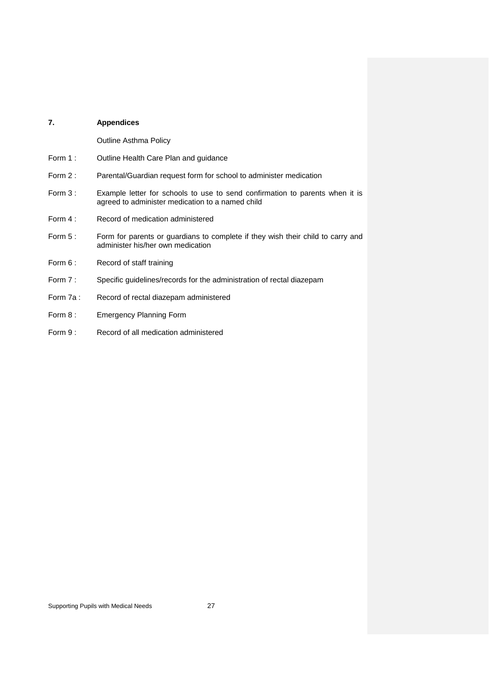# **7. Appendices**

Outline Asthma Policy

- Form 1 : Outline Health Care Plan and guidance
- Form 2 : Parental/Guardian request form for school to administer medication
- Form 3 : Example letter for schools to use to send confirmation to parents when it is agreed to administer medication to a named child
- Form 4 : Record of medication administered
- Form 5 : Form for parents or guardians to complete if they wish their child to carry and administer his/her own medication
- Form 6: Record of staff training
- Form 7 : Specific guidelines/records for the administration of rectal diazepam
- Form 7a : Record of rectal diazepam administered
- Form 8: Emergency Planning Form
- Form 9: Record of all medication administered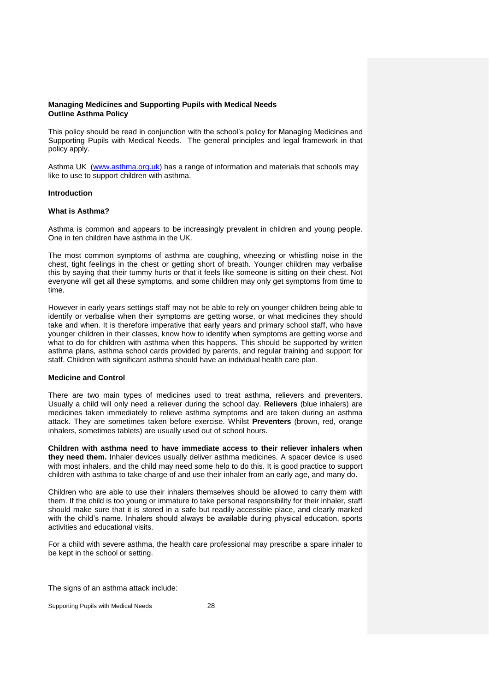# **Managing Medicines and Supporting Pupils with Medical Needs Outline Asthma Policy**

This policy should be read in conjunction with the school's policy for Managing Medicines and Supporting Pupils with Medical Needs. The general principles and legal framework in that policy apply.

Asthma UK [\(www.asthma.org.uk\)](http://www.asthma.org.uk/) has a range of information and materials that schools may like to use to support children with asthma.

# **Introduction**

# **What is Asthma?**

Asthma is common and appears to be increasingly prevalent in children and young people. One in ten children have asthma in the UK.

The most common symptoms of asthma are coughing, wheezing or whistling noise in the chest, tight feelings in the chest or getting short of breath. Younger children may verbalise this by saying that their tummy hurts or that it feels like someone is sitting on their chest. Not everyone will get all these symptoms, and some children may only get symptoms from time to time.

However in early years settings staff may not be able to rely on younger children being able to identify or verbalise when their symptoms are getting worse, or what medicines they should take and when. It is therefore imperative that early years and primary school staff, who have younger children in their classes, know how to identify when symptoms are getting worse and what to do for children with asthma when this happens. This should be supported by written asthma plans, asthma school cards provided by parents, and regular training and support for staff. Children with significant asthma should have an individual health care plan.

### **Medicine and Control**

There are two main types of medicines used to treat asthma, relievers and preventers. Usually a child will only need a reliever during the school day. **Relievers** (blue inhalers) are medicines taken immediately to relieve asthma symptoms and are taken during an asthma attack. They are sometimes taken before exercise. Whilst **Preventers** (brown, red, orange inhalers, sometimes tablets) are usually used out of school hours.

**Children with asthma need to have immediate access to their reliever inhalers when they need them.** Inhaler devices usually deliver asthma medicines. A spacer device is used with most inhalers, and the child may need some help to do this. It is good practice to support children with asthma to take charge of and use their inhaler from an early age, and many do.

Children who are able to use their inhalers themselves should be allowed to carry them with them. If the child is too young or immature to take personal responsibility for their inhaler, staff should make sure that it is stored in a safe but readily accessible place, and clearly marked with the child's name. Inhalers should always be available during physical education, sports activities and educational visits.

For a child with severe asthma, the health care professional may prescribe a spare inhaler to be kept in the school or setting.

The signs of an asthma attack include: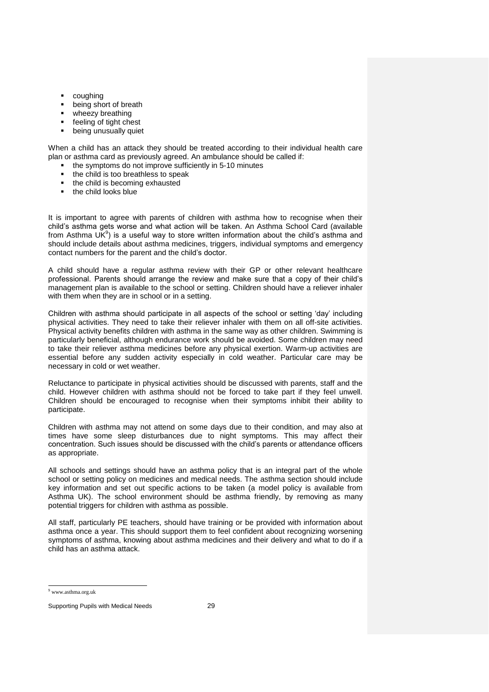- coughing
- being short of breath
- wheezy breathing
- feeling of tight chest
- being unusually quiet

When a child has an attack they should be treated according to their individual health care plan or asthma card as previously agreed. An ambulance should be called if:

- the symptoms do not improve sufficiently in 5-10 minutes
- the child is too breathless to speak
- the child is becoming exhausted
- the child looks blue

It is important to agree with parents of children with asthma how to recognise when their child's asthma gets worse and what action will be taken. An Asthma School Card (available from Asthma UK<sup>9</sup>) is a useful way to store written information about the child's asthma and should include details about asthma medicines, triggers, individual symptoms and emergency contact numbers for the parent and the child's doctor.

A child should have a regular asthma review with their GP or other relevant healthcare professional. Parents should arrange the review and make sure that a copy of their child's management plan is available to the school or setting. Children should have a reliever inhaler with them when they are in school or in a setting.

Children with asthma should participate in all aspects of the school or setting 'day' including physical activities. They need to take their reliever inhaler with them on all off-site activities. Physical activity benefits children with asthma in the same way as other children. Swimming is particularly beneficial, although endurance work should be avoided. Some children may need to take their reliever asthma medicines before any physical exertion. Warm-up activities are essential before any sudden activity especially in cold weather. Particular care may be necessary in cold or wet weather.

Reluctance to participate in physical activities should be discussed with parents, staff and the child. However children with asthma should not be forced to take part if they feel unwell. Children should be encouraged to recognise when their symptoms inhibit their ability to participate.

Children with asthma may not attend on some days due to their condition, and may also at times have some sleep disturbances due to night symptoms. This may affect their concentration. Such issues should be discussed with the child's parents or attendance officers as appropriate.

All schools and settings should have an asthma policy that is an integral part of the whole school or setting policy on medicines and medical needs. The asthma section should include key information and set out specific actions to be taken (a model policy is available from Asthma UK). The school environment should be asthma friendly, by removing as many potential triggers for children with asthma as possible.

All staff, particularly PE teachers, should have training or be provided with information about asthma once a year. This should support them to feel confident about recognizing worsening symptoms of asthma, knowing about asthma medicines and their delivery and what to do if a child has an asthma attack.

 $\overline{a}$ 

<sup>9</sup> www.asthma.org.uk

Supporting Pupils with Medical Needs 29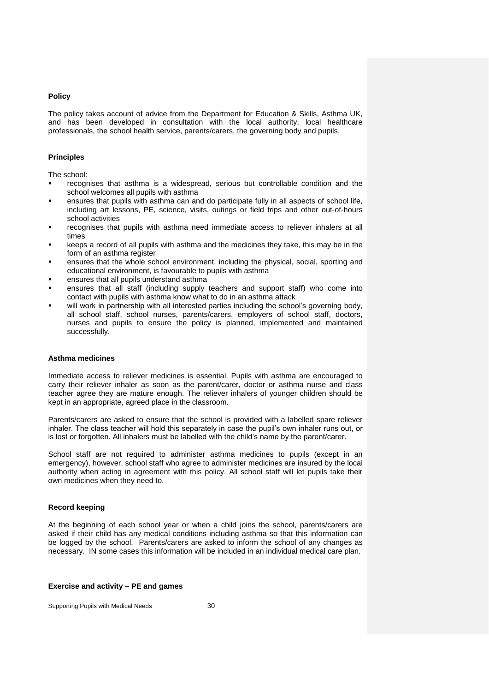# **Policy**

The policy takes account of advice from the Department for Education & Skills, Asthma UK, and has been developed in consultation with the local authority, local healthcare professionals, the school health service, parents/carers, the governing body and pupils.

# **Principles**

The school:

- recognises that asthma is a widespread, serious but controllable condition and the school welcomes all pupils with asthma
- ensures that pupils with asthma can and do participate fully in all aspects of school life, including art lessons, PE, science, visits, outings or field trips and other out-of-hours school activities
- recognises that pupils with asthma need immediate access to reliever inhalers at all times
- keeps a record of all pupils with asthma and the medicines they take, this may be in the form of an asthma register
- ensures that the whole school environment, including the physical, social, sporting and educational environment, is favourable to pupils with asthma
- ensures that all pupils understand asthma
- ensures that all staff (including supply teachers and support staff) who come into contact with pupils with asthma know what to do in an asthma attack
- will work in partnership with all interested parties including the school's governing body, all school staff, school nurses, parents/carers, employers of school staff, doctors, nurses and pupils to ensure the policy is planned, implemented and maintained successfully.

### **Asthma medicines**

Immediate access to reliever medicines is essential. Pupils with asthma are encouraged to carry their reliever inhaler as soon as the parent/carer, doctor or asthma nurse and class teacher agree they are mature enough. The reliever inhalers of younger children should be kept in an appropriate, agreed place in the classroom.

Parents/carers are asked to ensure that the school is provided with a labelled spare reliever inhaler. The class teacher will hold this separately in case the pupil's own inhaler runs out, or is lost or forgotten. All inhalers must be labelled with the child's name by the parent/carer.

School staff are not required to administer asthma medicines to pupils (except in an emergency), however, school staff who agree to administer medicines are insured by the local authority when acting in agreement with this policy. All school staff will let pupils take their own medicines when they need to.

# **Record keeping**

At the beginning of each school year or when a child joins the school, parents/carers are asked if their child has any medical conditions including asthma so that this information can be logged by the school. Parents/carers are asked to inform the school of any changes as necessary. IN some cases this information will be included in an individual medical care plan.

# **Exercise and activity – PE and games**

Supporting Pupils with Medical Needs 30